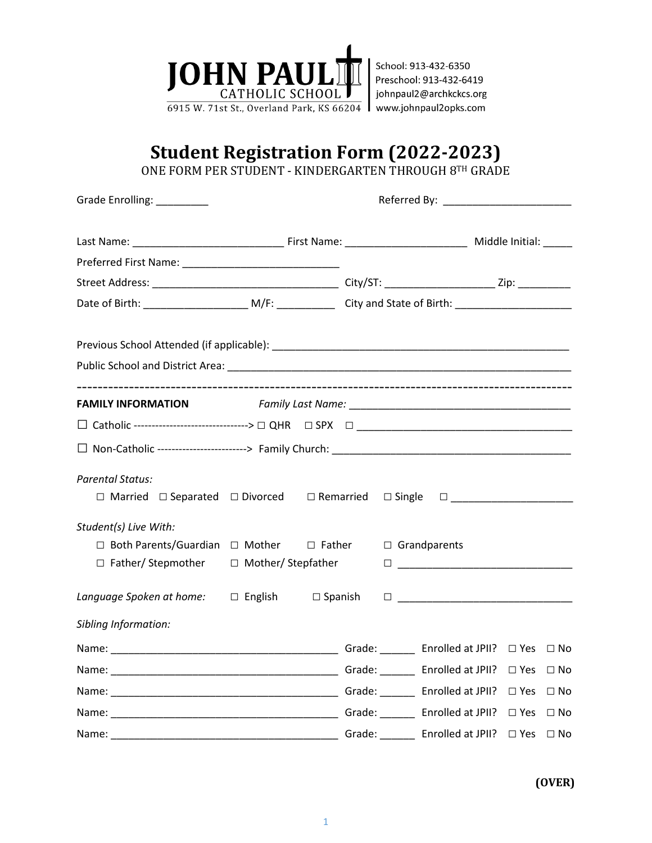

## **Student Registration Form (2022-2023)**

ONE FORM PER STUDENT - KINDERGARTEN THROUGH 8TH GRADE

| Grade Enrolling: _________                                                                                                               |  |  |  |  |                |  |              |  |
|------------------------------------------------------------------------------------------------------------------------------------------|--|--|--|--|----------------|--|--------------|--|
|                                                                                                                                          |  |  |  |  |                |  |              |  |
|                                                                                                                                          |  |  |  |  |                |  |              |  |
|                                                                                                                                          |  |  |  |  |                |  |              |  |
|                                                                                                                                          |  |  |  |  |                |  |              |  |
|                                                                                                                                          |  |  |  |  |                |  |              |  |
|                                                                                                                                          |  |  |  |  |                |  |              |  |
|                                                                                                                                          |  |  |  |  |                |  |              |  |
|                                                                                                                                          |  |  |  |  |                |  |              |  |
|                                                                                                                                          |  |  |  |  |                |  |              |  |
| <b>Parental Status:</b><br>$\Box$ Married $\Box$ Separated $\Box$ Divorced $\Box$ Remarried $\Box$ Single                                |  |  |  |  |                |  |              |  |
| Student(s) Live With:<br>$\Box$ Both Parents/Guardian $\Box$ Mother $\Box$ Father<br>$\Box$ Father/ Stepmother $\Box$ Mother/ Stepfather |  |  |  |  | □ Grandparents |  |              |  |
| Language Spoken at home: $\square$ English $\square$ Spanish                                                                             |  |  |  |  |                |  |              |  |
| Sibling Information:                                                                                                                     |  |  |  |  |                |  |              |  |
|                                                                                                                                          |  |  |  |  |                |  |              |  |
|                                                                                                                                          |  |  |  |  |                |  |              |  |
|                                                                                                                                          |  |  |  |  |                |  | $\Box$ No    |  |
|                                                                                                                                          |  |  |  |  |                |  |              |  |
|                                                                                                                                          |  |  |  |  |                |  | $\square$ No |  |

**(OVER)**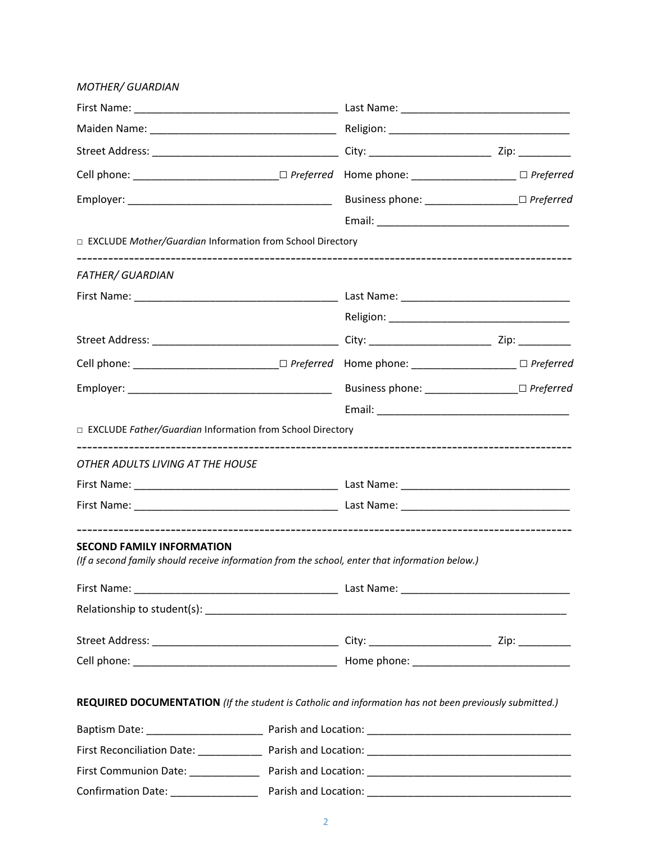| <b>MOTHER/ GUARDIAN</b>                                                                                                            |  |  |  |  |  |  |
|------------------------------------------------------------------------------------------------------------------------------------|--|--|--|--|--|--|
|                                                                                                                                    |  |  |  |  |  |  |
|                                                                                                                                    |  |  |  |  |  |  |
|                                                                                                                                    |  |  |  |  |  |  |
|                                                                                                                                    |  |  |  |  |  |  |
|                                                                                                                                    |  |  |  |  |  |  |
|                                                                                                                                    |  |  |  |  |  |  |
| □ EXCLUDE Mother/Guardian Information from School Directory                                                                        |  |  |  |  |  |  |
| <b>FATHER/ GUARDIAN</b>                                                                                                            |  |  |  |  |  |  |
|                                                                                                                                    |  |  |  |  |  |  |
|                                                                                                                                    |  |  |  |  |  |  |
|                                                                                                                                    |  |  |  |  |  |  |
|                                                                                                                                    |  |  |  |  |  |  |
|                                                                                                                                    |  |  |  |  |  |  |
|                                                                                                                                    |  |  |  |  |  |  |
| □ EXCLUDE Father/Guardian Information from School Directory                                                                        |  |  |  |  |  |  |
| OTHER ADULTS LIVING AT THE HOUSE                                                                                                   |  |  |  |  |  |  |
|                                                                                                                                    |  |  |  |  |  |  |
|                                                                                                                                    |  |  |  |  |  |  |
| <b>SECOND FAMILY INFORMATION</b><br>(If a second family should receive information from the school, enter that information below.) |  |  |  |  |  |  |
|                                                                                                                                    |  |  |  |  |  |  |
|                                                                                                                                    |  |  |  |  |  |  |
|                                                                                                                                    |  |  |  |  |  |  |
|                                                                                                                                    |  |  |  |  |  |  |
|                                                                                                                                    |  |  |  |  |  |  |
| REQUIRED DOCUMENTATION (If the student is Catholic and information has not been previously submitted.)                             |  |  |  |  |  |  |
|                                                                                                                                    |  |  |  |  |  |  |
|                                                                                                                                    |  |  |  |  |  |  |
|                                                                                                                                    |  |  |  |  |  |  |
|                                                                                                                                    |  |  |  |  |  |  |